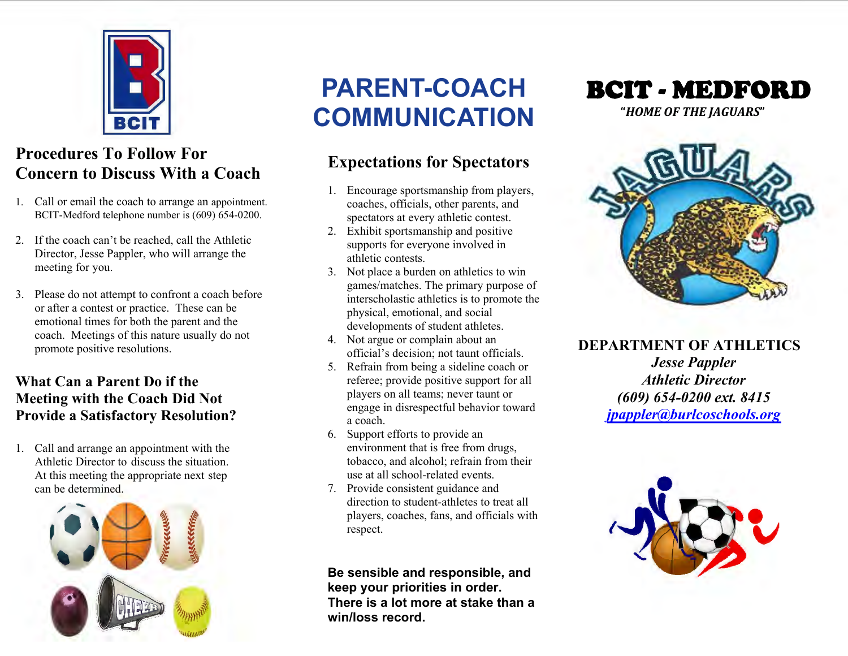

# **Procedures To Follow For Concern to Discuss With a Coach**

- 1. Call or email the coach to arrange an appointment. BCIT-Medford telephone number is (609) 654-0200.
- 2. If the coach can't be reached, call the Athletic Director, Jesse Pappler, who will arrange the meeting for you.
- 3. Please do not attempt to confront a coach before or after a contest or practice. These can be emotional times for both the parent and the coach. Meetings of this nature usually do not promote positive resolutions.

#### **What Can a Parent Do if the Meeting with the Coach Did Not Provide a Satisfactory Resolution?**

1. Call and arrange an appointment with the Athletic Director to discuss the situation. At this meeting the appropriate next step can be determined.



# **PARENT-COACH COMMUNICATION**

# **Expectations for Spectators**

- 1. Encourage sportsmanship from players, coaches, officials, other parents, and spectators at every athletic contest.
- 2. Exhibit sportsmanship and positive supports for everyone involved in athletic contests.
- 3. Not place a burden on athletics to win games/matches. The primary purpose of interscholastic athletics is to promote the physical, emotional, and social developments of student athletes.
- 4. Not argue or complain about an official's decision; not taunt officials.
- 5. Refrain from being a sideline coach or referee; provide positive support for all players on all teams; never taunt or engage in disrespectful behavior toward a coach.
- 6. Support efforts to provide an environment that is free from drugs, tobacco, and alcohol; refrain from their use at all school-related events.
- 7. Provide consistent guidance and direction to student-athletes to treat all players, coaches, fans, and officials with respect.

**Be sensible and responsible, and keep your priorities in order. There is a lot more at stake than a win/loss record.** 





**DEPARTMENT OF ATHLETICS** *Jesse Pappler Athletic Director (609) 654-0200 ext. 8415 jpappler@burlcoschools.org*